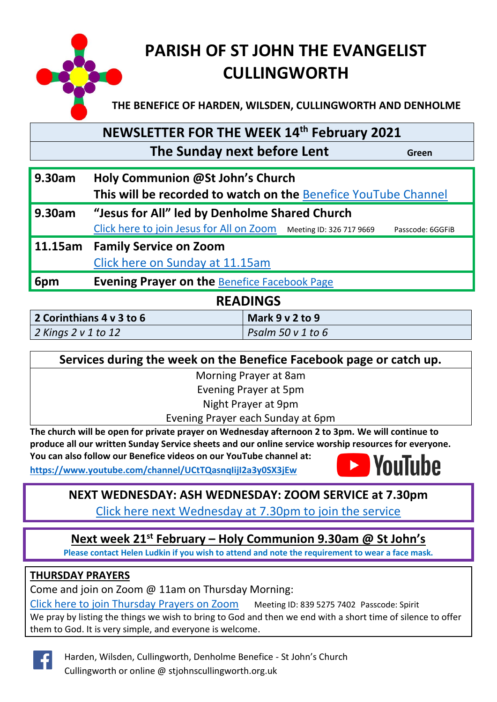

# **PARISH OF ST JOHN THE EVANGELIST CULLINGWORTH**

**THE BENEFICE OF HARDEN, WILSDEN, CULLINGWORTH AND DENHOLME**

# **NEWSLETTER FOR THE WEEK 14th February 2021**

 **The Sunday next before Lent COVE COVER 1978** Green

- **9.30am Holy Communion @St John's Church This will be recorded to watch on the** [Benefice YouTube Channel](https://www.youtube.com/channel/UCtTQasnqIijI2a3y0SX3jEw)
- **9.30am "Jesus for All" led by Denholme Shared Church** [Click here to join Jesus for All on Zoom](https://us02web.zoom.us/j/3267179669?pwd=V3dsd0ZCZ2ViaEZtSlF2NDQvNUhWUT09) Meeting ID: 326 717 9669 Passcode: 6GGFiB
- **11.15am Family Service on Zoom** [Click here on Sunday at 11.15am](https://us02web.zoom.us/j/89105329682?pwd=ZldVS1BrT1RQc05oc1ZJNE4xeHV1UT09)
- **6pm Evening Prayer on the** [Benefice Facebook Page](https://www.facebook.com/Harden-Wilsden-Cullingworth-Denholme-Benefice)

### **READINGS**

| 2 Corinthians 4 v 3 to 6 | Mark 9 v 2 to 9   |  |
|--------------------------|-------------------|--|
| 2 Kings 2 v 1 to 12      | Psalm 50 v 1 to 6 |  |

**Services during the week on the Benefice Facebook page or catch up.**

Morning Prayer at 8am

Evening Prayer at 5pm

Night Prayer at 9pm

Evening Prayer each Sunday at 6pm

**The church will be open for private prayer on Wednesday afternoon 2 to 3pm. We will continue to produce all our written Sunday Service sheets and our online service worship resources for everyone.**

**You can also follow our Benefice videos on our YouTube channel at:** 

**<https://www.youtube.com/channel/UCtTQasnqIijI2a3y0SX3jEw>**



### **NEXT WEDNESDAY: ASH WEDNESDAY: ZOOM SERVICE at 7.30pm**

[Click here next Wednesday at 7.30pm to join the service](https://us02web.zoom.us/j/85767570164?pwd=QVh4UFZPa3hKRVRONGJIaTJHRGhCQT09)

### **Next week 21st February – Holy Communion 9.30am @ St John's**

**Please contact Helen Ludkin if you wish to attend and note the requirement to wear a face mask.**

### **THURSDAY PRAYERS**

Come and join on Zoom @ 11am on Thursday Morning:

[Click here to join Thursday](https://us02web.zoom.us/j/83952757402?pwd=eEYrRGFkL3g1dzJLeUcvSDJueTlZdz09) Prayers on Zoom Meeting ID: 839 5275 7402 Passcode: Spirit We pray by listing the things we wish to bring to God and then we end with a short time of silence to offer them to God. It is very simple, and everyone is welcome.



Harden, Wilsden, Cullingworth, Denholme Benefice - St John's Church Cullingworth or online @ stjohnscullingworth.org.uk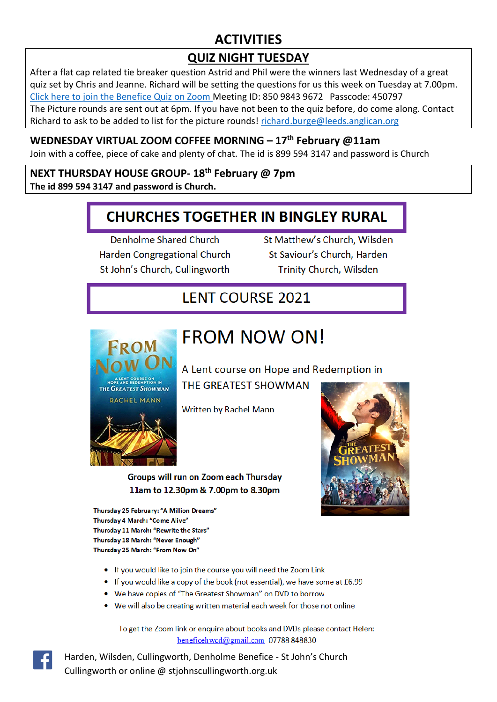### **ACTIVITIES**

### **QUIZ NIGHT TUESDAY**

After a flat cap related tie breaker question Astrid and Phil were the winners last Wednesday of a great quiz set by Chris and Jeanne. Richard will be setting the questions for us this week on Tuesday at 7.00pm. [Click here to join the Benefice Quiz on Zoom](https://us02web.zoom.us/j/85098439672?pwd=QnVyTTBlNGJ0d3JBV1o4TDNZWGhhUT09) Meeting ID: 850 9843 9672 Passcode: 450797 The Picture rounds are sent out at 6pm. If you have not been to the quiz before, do come along. Contact Richard to ask to be added to list for the picture rounds! [richard.burge@leeds.anglican.org](file:///C:/Users/richard%20burge/SkyDrive/HWCD%20Parishes/Coronavirus%20Plans/Midweek%20Newsletters/richard.burge@leeds.anglican.org)

#### **WEDNESDAY VIRTUAL ZOOM COFFEE MORNING – 17 th February @11am**

Join with a coffee, piece of cake and plenty of chat. The id is 899 594 3147 and password is Church

#### **NEXT THURSDAY HOUSE GROUP- 18th February @ 7pm**

**The id 899 594 3147 and password is Church.** 

## **CHURCHES TOGETHER IN BINGLEY RURAL**

Denholme Shared Church Harden Congregational Church St John's Church, Cullingworth

St Matthew's Church, Wilsden St Saviour's Church, Harden Trinity Church, Wilsden

## **LENT COURSE 2021**



# **FROM NOW ON!**

A Lent course on Hope and Redemption in THE GREATEST SHOWMAN

**Written by Rachel Mann** 

Groups will run on Zoom each Thursday 11am to 12.30pm & 7.00pm to 8.30pm

Thursday 25 February: "A Million Dreams" Thursday 4 March: "Come Alive" Thursday 11 March: "Rewrite the Stars" Thursday 18 March: "Never Enough" Thursday 25 March: "From Now On"



- . If you would like to join the course you will need the Zoom Link
- If you would like a copy of the book (not essential), we have some at £6.99
- We have copies of "The Greatest Showman" on DVD to borrow
- We will also be creating written material each week for those not online

To get the Zoom link or enquire about books and DVDs please contact Helen: beneficehwed@gmail.com 07788 848830

Harden, Wilsden, Cullingworth, Denholme Benefice - St John's Church Cullingworth or online @ stjohnscullingworth.org.uk

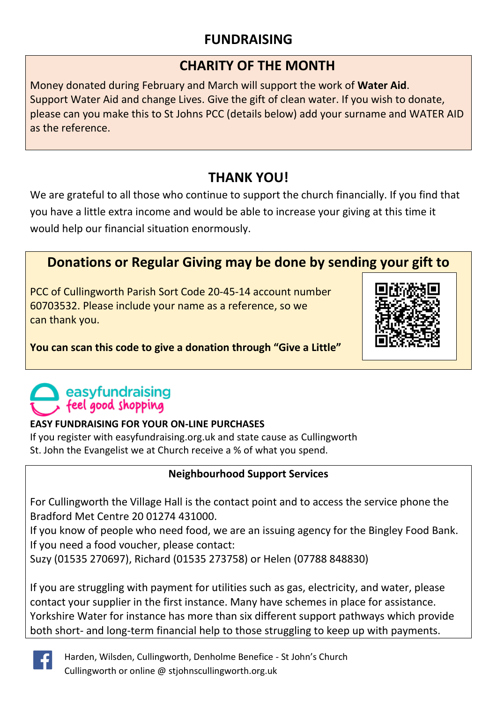### **FUNDRAISING**

### **CHARITY OF THE MONTH**

Money donated during February and March will support the work of **Water Aid**. Support Water Aid and change Lives. Give the gift of clean water. If you wish to donate, please can you make this to St Johns PCC (details below) add your surname and WATER AID as the reference.

### **THANK YOU!**

We are grateful to all those who continue to support the church financially. If you find that you have a little extra income and would be able to increase your giving at this time it would help our financial situation enormously.

### **Donations or Regular Giving may be done by sending your gift to**

PCC of Cullingworth Parish Sort Code 20-45-14 account number 60703532. Please include your name as a reference, so we can thank you.



### **You can scan this code to give a donation through "Give a Little"**

## easyfundraising feel good shopping

### **EASY FUNDRAISING FOR YOUR ON-LINE PURCHASES**

If you register with easyfundraising.org.uk and state cause as Cullingworth St. John the Evangelist we at Church receive a % of what you spend.

### **Neighbourhood Support Services**

For Cullingworth the Village Hall is the contact point and to access the service phone the Bradford Met Centre 20 01274 431000.

If you know of people who need food, we are an issuing agency for the Bingley Food Bank. If you need a food voucher, please contact:

Suzy (01535 270697), Richard (01535 273758) or Helen (07788 848830)

If you are struggling with payment for utilities such as gas, electricity, and water, please contact your supplier in the first instance. Many have schemes in place for assistance. Yorkshire Water for instance has more than six different support pathways which provide both short- and long-term financial help to those struggling to keep up with payments.

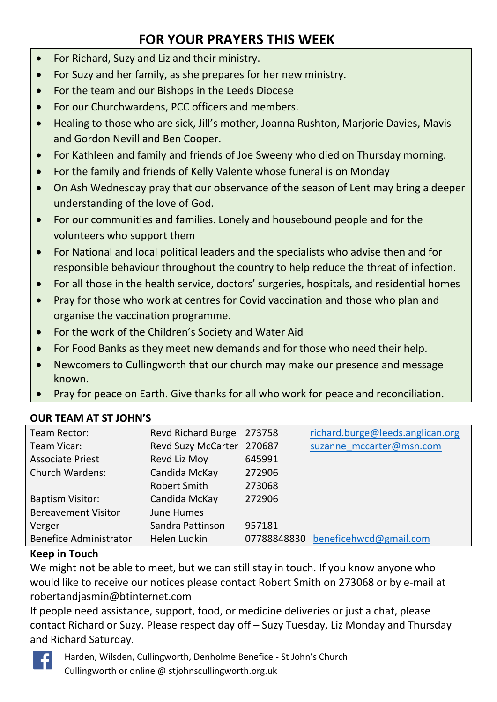### **FOR YOUR PRAYERS THIS WEEK**

- For Richard, Suzy and Liz and their ministry.
- For Suzy and her family, as she prepares for her new ministry.
- For the team and our Bishops in the Leeds Diocese
- For our Churchwardens, PCC officers and members.
- Healing to those who are sick, Jill's mother, Joanna Rushton, Marjorie Davies, Mavis and Gordon Nevill and Ben Cooper.
- For Kathleen and family and friends of Joe Sweeny who died on Thursday morning.
- For the family and friends of Kelly Valente whose funeral is on Monday
- On Ash Wednesday pray that our observance of the season of Lent may bring a deeper understanding of the love of God.
- For our communities and families. Lonely and housebound people and for the volunteers who support them
- For National and local political leaders and the specialists who advise then and for responsible behaviour throughout the country to help reduce the threat of infection.
- For all those in the health service, doctors' surgeries, hospitals, and residential homes
- Pray for those who work at centres for Covid vaccination and those who plan and organise the vaccination programme.
- For the work of the Children's Society and Water Aid
- For Food Banks as they meet new demands and for those who need their help.
- Newcomers to Cullingworth that our church may make our presence and message known.
- Pray for peace on Earth. Give thanks for all who work for peace and reconciliation.

#### **OUR TEAM AT ST JOHN'S**

| Team Rector:                  | <b>Revd Richard Burge</b> | 273758      | richard.burge@leeds.anglican.org |
|-------------------------------|---------------------------|-------------|----------------------------------|
| Team Vicar:                   | Revd Suzy McCarter        | 270687      | suzanne mccarter@msn.com         |
| <b>Associate Priest</b>       | Revd Liz Moy              | 645991      |                                  |
| <b>Church Wardens:</b>        | Candida McKay             | 272906      |                                  |
|                               | <b>Robert Smith</b>       | 273068      |                                  |
| <b>Baptism Visitor:</b>       | Candida McKay             | 272906      |                                  |
| <b>Bereavement Visitor</b>    | June Humes                |             |                                  |
| Verger                        | Sandra Pattinson          | 957181      |                                  |
| <b>Benefice Administrator</b> | Helen Ludkin              | 07788848830 | beneficehwcd@gmail.com           |

### **Keep in Touch**

We might not be able to meet, but we can still stay in touch. If you know anyone who would like to receive our notices please contact Robert Smith on 273068 or by e-mail at [robertandjasmin@btinternet.com](mailto:robertandjasmin@btinternet.com)

If people need assistance, support, food, or medicine deliveries or just a chat, please contact Richard or Suzy. Please respect day off – Suzy Tuesday, Liz Monday and Thursday and Richard Saturday.



Harden, Wilsden, Cullingworth, Denholme Benefice - St John's Church Cullingworth or online @ stjohnscullingworth.org.uk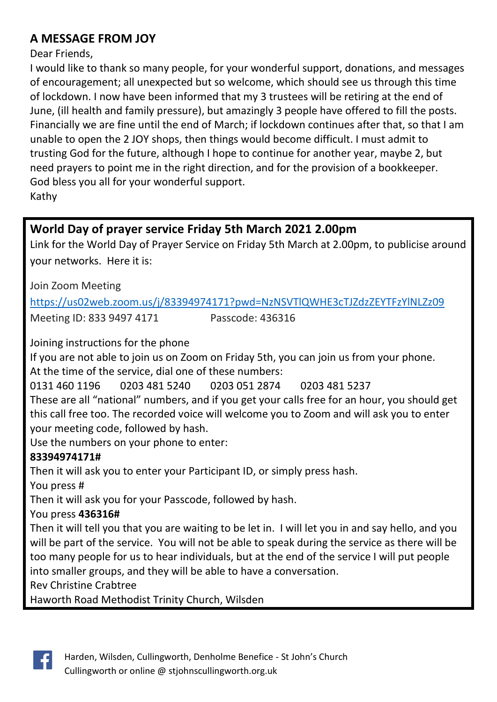### **A MESSAGE FROM JOY**

#### Dear Friends,

I would like to thank so many people, for your wonderful support, donations, and messages of encouragement; all unexpected but so welcome, which should see us through this time of lockdown. I now have been informed that my 3 trustees will be retiring at the end of June, (ill health and family pressure), but amazingly 3 people have offered to fill the posts. Financially we are fine until the end of March; if lockdown continues after that, so that I am unable to open the 2 JOY shops, then things would become difficult. I must admit to trusting God for the future, although I hope to continue for another year, maybe 2, but need prayers to point me in the right direction, and for the provision of a bookkeeper. God bless you all for your wonderful support. Kathy

### **World Day of prayer service Friday 5th March 2021 2.00pm**

Link for the World Day of Prayer Service on Friday 5th March at 2.00pm, to publicise around your networks. Here it is:

#### Join Zoom Meeting

[https://us02web.zoom.us/j/83394974171?pwd=NzNSVTlQWHE3cTJZdzZEYTFzYlNLZz09](https://www.google.com/url?q=https%3A%2F%2Fus02web.zoom.us%2Fj%2F83394974171%3Fpwd%3DNzNSVTlQWHE3cTJZdzZEYTFzYlNLZz09&sa=D&ust=1613206800645000&usg=AOvVaw17mJzVnXY5zijys0wAO0Hx) Meeting ID: 833 9497 4171 Passcode: 436316

Joining instructions for the phone

If you are not able to join us on Zoom on Friday 5th, you can join us from your phone. At the time of the service, dial one of these numbers:

0131 460 1196 0203 481 5240 0203 051 2874 0203 481 5237 These are all "national" numbers, and if you get your calls free for an hour, you should get this call free too. The recorded voice will welcome you to Zoom and will ask you to enter your meeting code, followed by hash.

Use the numbers on your phone to enter:

### **83394974171#**

Then it will ask you to enter your Participant ID, or simply press hash.

You press #

Then it will ask you for your Passcode, followed by hash.

You press **436316#**

Then it will tell you that you are waiting to be let in. I will let you in and say hello, and you will be part of the service. You will not be able to speak during the service as there will be too many people for us to hear individuals, but at the end of the service I will put people into smaller groups, and they will be able to have a conversation.

Rev Christine Crabtree

Haworth Road Methodist Trinity Church, Wilsden